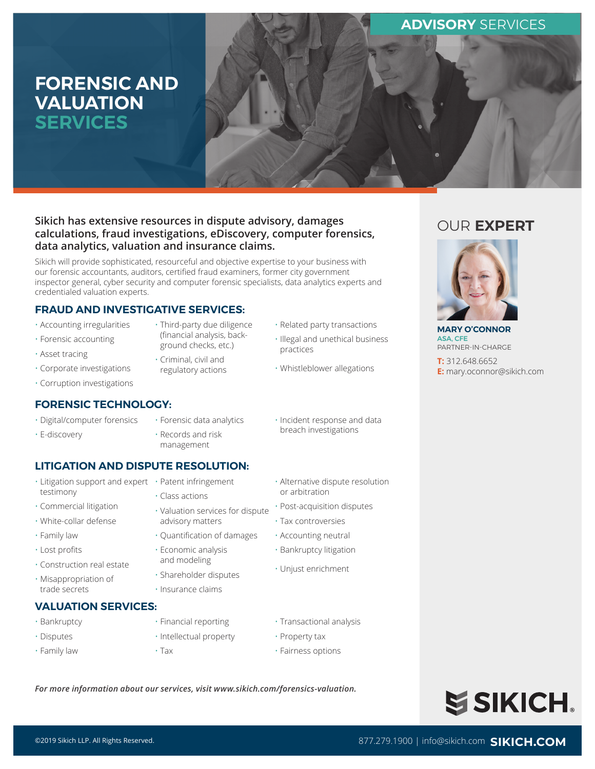## **ADVISORY** SERVICES

# **FORENSIC AND VALUATION SERVICES**



## **Sikich has extensive resources in dispute advisory, damages calculations, fraud investigations, eDiscovery, computer forensics, data analytics, valuation and insurance claims.**

Sikich will provide sophisticated, resourceful and objective expertise to your business with our forensic accountants, auditors, certified fraud examiners, former city government inspector general, cyber security and computer forensic specialists, data analytics experts and credentialed valuation experts.

> • Third-party due diligence (financial analysis, background checks, etc.) • Criminal, civil and regulatory actions

## **FRAUD AND INVESTIGATIVE SERVICES:**

- Accounting irregularities
- Forensic accounting
- Asset tracing
- Corporate investigations
- Corruption investigations

### **FORENSIC TECHNOLOGY:**

- Digital/computer forensics
- E-discovery
- Forensic data analytics
- Records and risk management

• Class actions

• Incident response and data breach investigations

• Related party transactions • Illegal and unethical business

• Whistleblower allegations

practices

## **LITIGATION AND DISPUTE RESOLUTION:**

- Litigation support and expert Patent infringement testimony
- Commercial litigation
- White-collar defense
- Family law
- Lost profits
- Construction real estate
- Misappropriation of trade secrets

## **VALUATION SERVICES:**

- Bankruptcy
- Disputes • Family law
- Tax
- Alternative dispute resolution or arbitration
	- Post-acquisition disputes
	- Tax controversies
	- Accounting neutral
	- Bankruptcy litigation
	- Unjust enrichment
- Transactional analysis
- Intellectual property
	-
- Property tax
- Fairness options

*For more information about our services, visit www.sikich.com/forensics-valuation.*

# OUR **EXPERT**



**MARY O'CONNOR** ASA, CFE PARTNER-IN-CHARGE

**T:** 312.648.6652 **E:** mary.oconnor@sikich.com



• Quantification of damages • Economic analysis and modeling

• Valuation services for dispute

• Shareholder disputes

advisory matters

- Insurance claims
	- Financial reporting
-